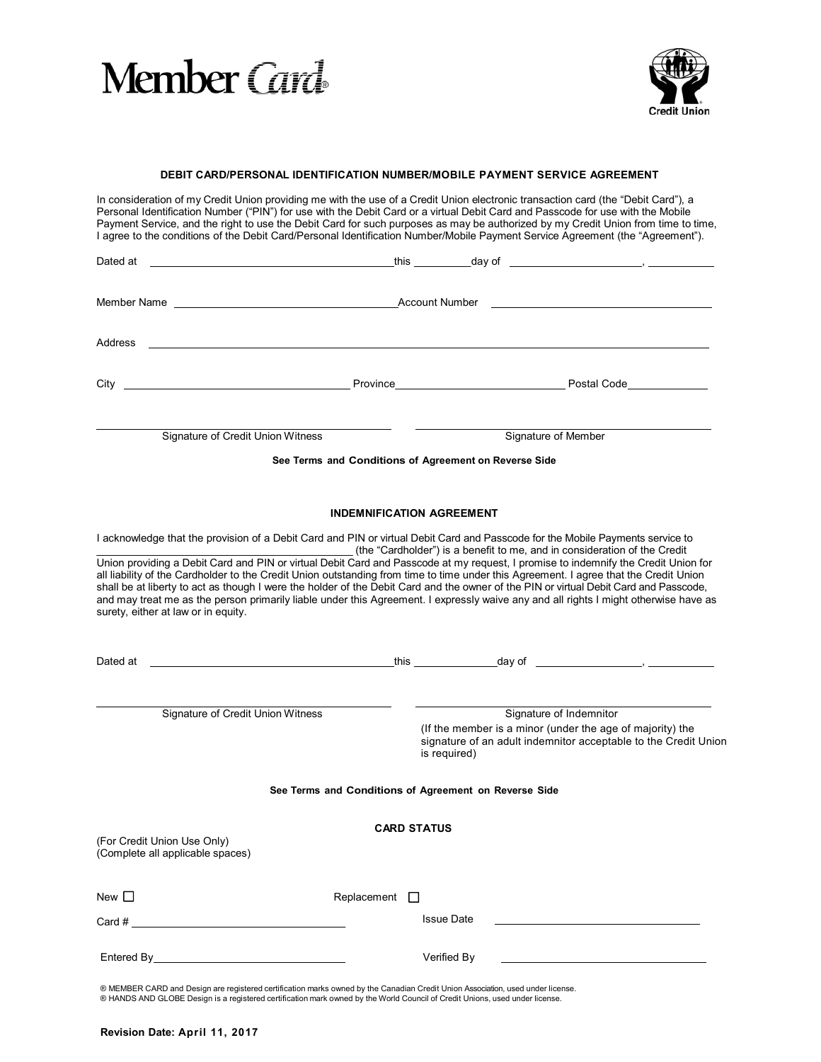



# **DEBIT CARD/PERSONAL IDENTIFICATION NUMBER/MOBILE PAYMENT SERVICE AGREEMENT**

In consideration of my Credit Union providing me with the use of a Credit Union electronic transaction card (the "Debit Card"), a Personal Identification Number ("PIN") for use with the Debit Card or a virtual Debit Card and Passcode for use with the Mobile Payment Service, and the right to use the Debit Card for such purposes as may be authorized by my Credit Union from time to time, I agree to the conditions of the Debit Card/Personal Identification Number/Mobile Payment Service Agreement (the "Agreement").

|                                                                 | <u> 1980 - Johann Barn, mars eta bainar eta baina eta baina eta baina eta baina eta baina eta baina eta baina e</u> |                                                                                                                                                                                                                                                                                                                                                          |  |
|-----------------------------------------------------------------|---------------------------------------------------------------------------------------------------------------------|----------------------------------------------------------------------------------------------------------------------------------------------------------------------------------------------------------------------------------------------------------------------------------------------------------------------------------------------------------|--|
|                                                                 |                                                                                                                     |                                                                                                                                                                                                                                                                                                                                                          |  |
| Address                                                         |                                                                                                                     |                                                                                                                                                                                                                                                                                                                                                          |  |
| City                                                            |                                                                                                                     |                                                                                                                                                                                                                                                                                                                                                          |  |
| Signature of Credit Union Witness                               |                                                                                                                     | Signature of Member                                                                                                                                                                                                                                                                                                                                      |  |
|                                                                 | See Terms and Conditions of Agreement on Reverse Side                                                               |                                                                                                                                                                                                                                                                                                                                                          |  |
|                                                                 | <b>INDEMNIFICATION AGREEMENT</b>                                                                                    |                                                                                                                                                                                                                                                                                                                                                          |  |
|                                                                 |                                                                                                                     | (the "Cardholder") is a benefit to me, and in consideration of the Credit<br>Union providing a Debit Card and PIN or virtual Debit Card and Passcode at my request, I promise to indemnify the Credit Union for<br>all liability of the Cardholder to the Credit Union outstanding from time to time under this Agreement. I agree that the Credit Union |  |
| surety, either at law or in equity.                             |                                                                                                                     | shall be at liberty to act as though I were the holder of the Debit Card and the owner of the PIN or virtual Debit Card and Passcode,<br>and may treat me as the person primarily liable under this Agreement. I expressly waive any and all rights I might otherwise have as                                                                            |  |
|                                                                 |                                                                                                                     | Dated at <u>New York Control of the Control of the Control of the Control of the Control of the Control of the Control of the Control of the Control of the Control of the Control of the Control of the Control of the Control </u>                                                                                                                     |  |
| Signature of Credit Union Witness                               | is required)                                                                                                        | Signature of Indemnitor<br>(If the member is a minor (under the age of majority) the<br>signature of an adult indemnitor acceptable to the Credit Union                                                                                                                                                                                                  |  |
|                                                                 | See Terms and Conditions of Agreement on Reverse Side                                                               |                                                                                                                                                                                                                                                                                                                                                          |  |
| (For Credit Union Use Only)<br>(Complete all applicable spaces) | <b>CARD STATUS</b>                                                                                                  |                                                                                                                                                                                                                                                                                                                                                          |  |
| New $\square$                                                   | Replacement <sup>1</sup>                                                                                            |                                                                                                                                                                                                                                                                                                                                                          |  |
| Card #                                                          | <b>Issue Date</b>                                                                                                   |                                                                                                                                                                                                                                                                                                                                                          |  |

® HANDS AND GLOBE Design is a registered certification mark owned by the World Council of Credit Unions, used under license.